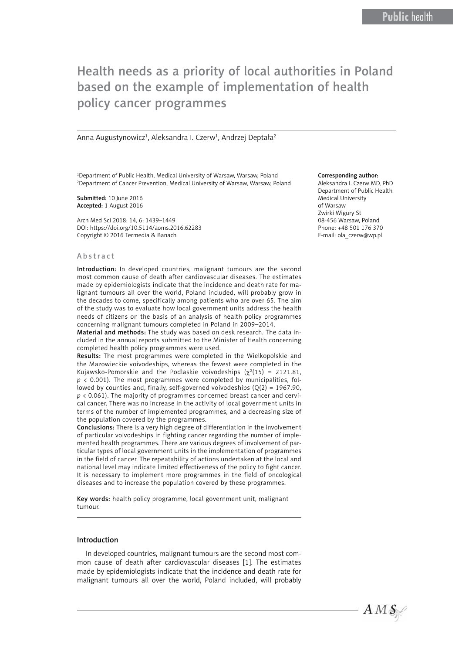# Health needs as a priority of local authorities in Poland based on the example of implementation of health policy cancer programmes

Anna Augustynowicz<sup>1</sup>, Aleksandra I. Czerw<sup>1</sup>, Andrzej Deptała<sup>2</sup>

<sup>1</sup>Department of Public Health, Medical University of Warsaw, Warsaw, Poland 2 Department of Cancer Prevention, Medical University of Warsaw, Warsaw, Poland

Submitted: 10 June 2016 Accepted: 1 August 2016

Arch Med Sci 2018; 14, 6: 1439–1449 DOI: https://doi.org/10.5114/aoms.2016.62283 Copyright © 2016 Termedia & Banach

#### Abstract

Introduction: In developed countries, malignant tumours are the second most common cause of death after cardiovascular diseases. The estimates made by epidemiologists indicate that the incidence and death rate for malignant tumours all over the world, Poland included, will probably grow in the decades to come, specifically among patients who are over 65. The aim of the study was to evaluate how local government units address the health needs of citizens on the basis of an analysis of health policy programmes concerning malignant tumours completed in Poland in 2009–2014.

Material and methods: The study was based on desk research. The data included in the annual reports submitted to the Minister of Health concerning completed health policy programmes were used.

Results: The most programmes were completed in the Wielkopolskie and the Mazowieckie voivodeships, whereas the fewest were completed in the Kujawsko-Pomorskie and the Podlaskie voivodeships  $(\chi^2(15) = 2121.81,$ *p* < 0.001). The most programmes were completed by municipalities, followed by counties and, finally, self-governed voivodeships  $(0(2) = 1967.90$ ,  $p \lt 0.061$ ). The majority of programmes concerned breast cancer and cervical cancer. There was no increase in the activity of local government units in terms of the number of implemented programmes, and a decreasing size of the population covered by the programmes.

Conclusions: There is a very high degree of differentiation in the involvement of particular voivodeships in fighting cancer regarding the number of implemented health programmes. There are various degrees of involvement of particular types of local government units in the implementation of programmes in the field of cancer. The repeatability of actions undertaken at the local and national level may indicate limited effectiveness of the policy to fight cancer. It is necessary to implement more programmes in the field of oncological diseases and to increase the population covered by these programmes.

Key words: health policy programme, local government unit, malignant tumour.

#### Introduction

In developed countries, malignant tumours are the second most common cause of death after cardiovascular diseases [1]. The estimates made by epidemiologists indicate that the incidence and death rate for malignant tumours all over the world, Poland included, will probably

#### Corresponding author:

Aleksandra I. Czerw MD, PhD Department of Public Health Medical University of Warsaw Zwirki Wigury St 08-456 Warsaw, Poland Phone: +48 501 176 370 E-mail: ola\_czerw@wp.pl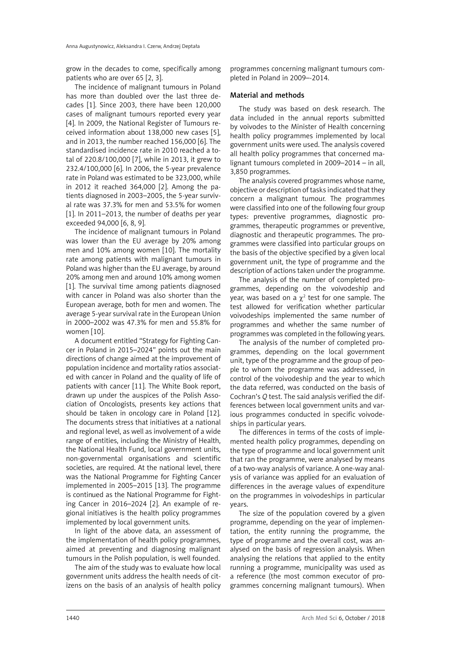grow in the decades to come, specifically among patients who are over 65 [2, 3].

The incidence of malignant tumours in Poland has more than doubled over the last three decades [1]. Since 2003, there have been 120,000 cases of malignant tumours reported every year [4]. In 2009, the National Register of Tumours received information about 138,000 new cases [5], and in 2013, the number reached 156,000 [6]. The standardised incidence rate in 2010 reached a total of 220.8/100,000 [7], while in 2013, it grew to 232.4/100,000 [6]. In 2006, the 5-year prevalence rate in Poland was estimated to be 323,000, while in 2012 it reached 364,000 [2]. Among the patients diagnosed in 2003–2005, the 5-year survival rate was 37.3% for men and 53.5% for women [1]. In 2011–2013, the number of deaths per year exceeded 94,000 [6, 8, 9].

The incidence of malignant tumours in Poland was lower than the EU average by 20% among men and 10% among women [10]. The mortality rate among patients with malignant tumours in Poland was higher than the EU average, by around 20% among men and around 10% among women [1]. The survival time among patients diagnosed with cancer in Poland was also shorter than the European average, both for men and women. The average 5-year survival rate in the European Union in 2000–2002 was 47.3% for men and 55.8% for women [10].

A document entitled "Strategy for Fighting Cancer in Poland in 2015–2024" points out the main directions of change aimed at the improvement of population incidence and mortality ratios associated with cancer in Poland and the quality of life of patients with cancer [11]. The White Book report, drawn up under the auspices of the Polish Association of Oncologists, presents key actions that should be taken in oncology care in Poland [12]. The documents stress that initiatives at a national and regional level, as well as involvement of a wide range of entities, including the Ministry of Health, the National Health Fund, local government units, non-governmental organisations and scientific societies, are required. At the national level, there was the National Programme for Fighting Cancer implemented in 2005–2015 [13]. The programme is continued as the National Programme for Fighting Cancer in 2016–2024 [2]. An example of regional initiatives is the health policy programmes implemented by local government units.

In light of the above data, an assessment of the implementation of health policy programmes, aimed at preventing and diagnosing malignant tumours in the Polish population, is well founded.

The aim of the study was to evaluate how local government units address the health needs of citizens on the basis of an analysis of health policy programmes concerning malignant tumours completed in Poland in 2009–-2014.

## Material and methods

The study was based on desk research. The data included in the annual reports submitted by voivodes to the Minister of Health concerning health policy programmes implemented by local government units were used. The analysis covered all health policy programmes that concerned malignant tumours completed in 2009–2014 – in all, 3,850 programmes.

The analysis covered programmes whose name, objective or description of tasks indicated that they concern a malignant tumour. The programmes were classified into one of the following four group types: preventive programmes, diagnostic programmes, therapeutic programmes or preventive, diagnostic and therapeutic programmes. The programmes were classified into particular groups on the basis of the objective specified by a given local government unit, the type of programme and the description of actions taken under the programme.

The analysis of the number of completed programmes, depending on the voivodeship and year, was based on a  $\chi^2$  test for one sample. The test allowed for verification whether particular voivodeships implemented the same number of programmes and whether the same number of programmes was completed in the following years.

The analysis of the number of completed programmes, depending on the local government unit, type of the programme and the group of people to whom the programme was addressed, in control of the voivodeship and the year to which the data referred, was conducted on the basis of Cochran's *Q* test. The said analysis verified the differences between local government units and various programmes conducted in specific voivodeships in particular years.

The differences in terms of the costs of implemented health policy programmes, depending on the type of programme and local government unit that ran the programme, were analysed by means of a two-way analysis of variance. A one-way analysis of variance was applied for an evaluation of differences in the average values of expenditure on the programmes in voivodeships in particular years.

The size of the population covered by a given programme, depending on the year of implementation, the entity running the programme, the type of programme and the overall cost, was analysed on the basis of regression analysis. When analysing the relations that applied to the entity running a programme, municipality was used as a reference (the most common executor of programmes concerning malignant tumours). When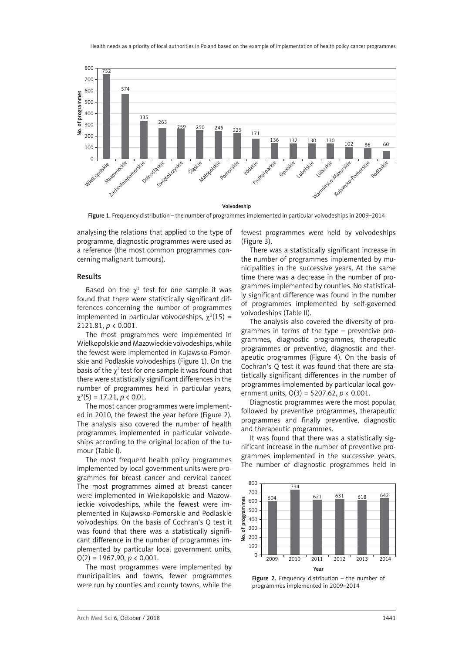

Figure 1. Frequency distribution – the number of programmes implemented in particular voivodeships in 2009–2014

analysing the relations that applied to the type of programme, diagnostic programmes were used as a reference (the most common programmes concerning malignant tumours).

### Results

Based on the  $\chi^2$  test for one sample it was found that there were statistically significant differences concerning the number of programmes implemented in particular voivodeships,  $\chi^2(15)$  = 2121.81, *p* < 0.001.

The most programmes were implemented in Wielkopolskie and Mazowieckie voivodeships, while the fewest were implemented in Kujawsko-Pomorskie and Podlaskie voivodeships (Figure 1). On the basis of the  $\gamma^2$  test for one sample it was found that there were statistically significant differences in the number of programmes held in particular years,  $\chi^2(5) = 17.21, p < 0.01.$ 

The most cancer programmes were implemented in 2010, the fewest the year before (Figure 2). The analysis also covered the number of health programmes implemented in particular voivodeships according to the original location of the tumour (Table I).

The most frequent health policy programmes implemented by local government units were programmes for breast cancer and cervical cancer. The most programmes aimed at breast cancer were implemented in Wielkopolskie and Mazowieckie voivodeships, while the fewest were implemented in Kujawsko-Pomorskie and Podlaskie voivodeships. On the basis of Cochran's Q test it was found that there was a statistically significant difference in the number of programmes implemented by particular local government units,  $Q(2) = 1967.90, p \le 0.001.$ 

The most programmes were implemented by municipalities and towns, fewer programmes were run by counties and county towns, while the fewest programmes were held by voivodeships (Figure 3).

There was a statistically significant increase in the number of programmes implemented by municipalities in the successive years. At the same time there was a decrease in the number of programmes implemented by counties. No statistically significant difference was found in the number of programmes implemented by self-governed voivodeships (Table II).

The analysis also covered the diversity of programmes in terms of the type – preventive programmes, diagnostic programmes, therapeutic programmes or preventive, diagnostic and therapeutic programmes (Figure 4). On the basis of Cochran's Q test it was found that there are statistically significant differences in the number of programmes implemented by particular local government units, Q(3) = 5207.62, *p* < 0.001.

Diagnostic programmes were the most popular, followed by preventive programmes, therapeutic programmes and finally preventive, diagnostic and therapeutic programmes.

It was found that there was a statistically significant increase in the number of preventive programmes implemented in the successive years. The number of diagnostic programmes held in



Figure 2. Frequency distribution – the number of programmes implemented in 2009–2014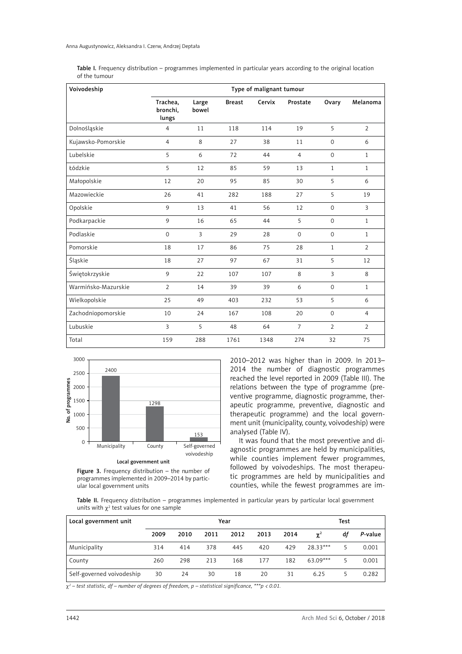| Table I. Frequency distribution – programmes implemented in particular years according to the original location |  |  |  |  |
|-----------------------------------------------------------------------------------------------------------------|--|--|--|--|
| of the tumour                                                                                                   |  |  |  |  |

| Voivodeship         |                               |                |               | Type of malignant tumour |                |                |                |
|---------------------|-------------------------------|----------------|---------------|--------------------------|----------------|----------------|----------------|
|                     | Trachea,<br>bronchi.<br>lungs | Large<br>bowel | <b>Breast</b> | Cervix                   | Prostate       | Ovary          | Melanoma       |
| Dolnośląskie        | $\overline{4}$                | 11             | 118           | 114                      | 19             | 5              | $\overline{2}$ |
| Kujawsko-Pomorskie  | $\overline{4}$                | 8              | 27            | 38                       | 11             | $\mathbf 0$    | 6              |
| Lubelskie           | 5                             | 6              | 72            | 44                       | $\overline{4}$ | $\mathbf 0$    | $\mathbf{1}$   |
| Łódzkie             | 5                             | 12             | 85            | 59                       | 13             | 1              | $\mathbf{1}$   |
| Małopolskie         | 12                            | 20             | 95            | 85                       | 30             | 5              | 6              |
| Mazowieckie         | 26                            | 41             | 282           | 188                      | 27             | 5              | 19             |
| Opolskie            | 9                             | 13             | 41            | 56                       | 12             | $\mathbf 0$    | $\overline{3}$ |
| Podkarpackie        | 9                             | 16             | 65            | 44                       | 5              | $\mathbf 0$    | $\mathbf{1}$   |
| Podlaskie           | $\mathbf 0$                   | 3              | 29            | 28                       | $\Omega$       | $\Omega$       | $\mathbf{1}$   |
| Pomorskie           | 18                            | 17             | 86            | 75                       | 28             | $\mathbf{1}$   | $\overline{2}$ |
| Śląskie             | 18                            | 27             | 97            | 67                       | 31             | 5              | 12             |
| Świętokrzyskie      | 9                             | 22             | 107           | 107                      | 8              | 3              | 8              |
| Warmińsko-Mazurskie | $\overline{2}$                | 14             | 39            | 39                       | 6              | $\mathbf 0$    | $\mathbf{1}$   |
| Wielkopolskie       | 25                            | 49             | 403           | 232                      | 53             | 5              | 6              |
| Zachodniopomorskie  | 10                            | 24             | 167           | 108                      | 20             | $\mathbf 0$    | $\overline{4}$ |
| Lubuskie            | $\overline{3}$                | 5              | 48            | 64                       | $\overline{7}$ | $\overline{2}$ | $\overline{2}$ |
| Total               | 159                           | 288            | 1761          | 1348                     | 274            | 32             | 75             |







2010–2012 was higher than in 2009. In 2013– 2014 the number of diagnostic programmes reached the level reported in 2009 (Table III). The relations between the type of programme (preventive programme, diagnostic programme, therapeutic programme, preventive, diagnostic and therapeutic programme) and the local government unit (municipality, county, voivodeship) were analysed (Table IV).

It was found that the most preventive and diagnostic programmes are held by municipalities, while counties implement fewer programmes, followed by voivodeships. The most therapeutic programmes are held by municipalities and counties, while the fewest programmes are im-

Table II. Frequency distribution – programmes implemented in particular years by particular local government units with  $\chi^2$  test values for one sample

| Local government unit     |      |      | Year |      | Test |      |            |    |         |
|---------------------------|------|------|------|------|------|------|------------|----|---------|
|                           | 2009 | 2010 | 2011 | 2012 | 2013 | 2014 | $\gamma^2$ | df | P-value |
| Municipality              | 314  | 414  | 378  | 445  | 420  | 429  | 28.33***   | 5  | 0.001   |
| County                    | 260  | 298  | 213  | 168  | 177  | 182  | $63.09***$ | 5  | 0.001   |
| Self-governed voivodeship | 30   | 24   | 30   | 18   | 20   | 31   | 6.25       | 5  | 0.282   |

 $\chi^2$  – test statistic, df – number of degrees of freedom, p – statistical significance, \*\*\*p < 0.01.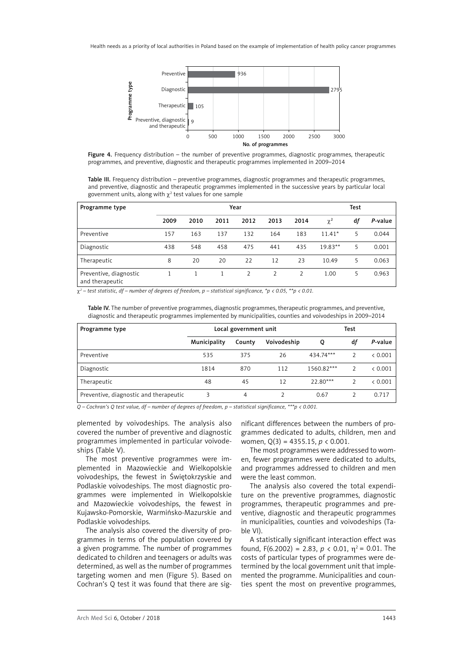



Table III. Frequency distribution – preventive programmes, diagnostic programmes and therapeutic programmes, and preventive, diagnostic and therapeutic programmes implemented in the successive years by particular local government units, along with  $\chi^2$  test values for one sample

| Programme type                            |      | Year |      |      |      |      |           | Test |         |  |
|-------------------------------------------|------|------|------|------|------|------|-----------|------|---------|--|
|                                           | 2009 | 2010 | 2011 | 2012 | 2013 | 2014 | $\chi^2$  | df   | P-value |  |
| Preventive                                | 157  | 163  | 137  | 132  | 164  | 183  | $11.41*$  | 5    | 0.044   |  |
| Diagnostic                                | 438  | 548  | 458  | 475  | 441  | 435  | $19.83**$ | 5    | 0.001   |  |
| Therapeutic                               | 8    | 20   | 20   | 22   | 12   | 23   | 10.49     | 5    | 0.063   |  |
| Preventive, diagnostic<br>and therapeutic |      |      |      |      |      |      | 1.00      | 5    | 0.963   |  |

 $\chi^2$  – test statistic, df – number of degrees of freedom, p – statistical significance, \*p < 0.05, \*\*p < 0.01.

Table IV. The number of preventive programmes, diagnostic programmes, therapeutic programmes, and preventive, diagnostic and therapeutic programmes implemented by municipalities, counties and voivodeships in 2009–2014

| Programme type                         |              | Local government unit |             | Test       |               |         |
|----------------------------------------|--------------|-----------------------|-------------|------------|---------------|---------|
|                                        | Municipality | County                | Voivodeship | Q          | df            | P-value |
| Preventive                             | 535          | 375                   | 26          | 434.74***  | $\mathcal{P}$ | < 0.001 |
| Diagnostic                             | 1814         | 870                   | 112         | 1560.82*** | $\mathcal{P}$ | < 0.001 |
| Therapeutic                            | 48           | 45                    | 12          | $22.80***$ |               | & 0.001 |
| Preventive, diagnostic and therapeutic | 3            | 4                     |             | 0.67       |               | 0.717   |

*Q – Cochran's Q test value, df – number of degrees of freedom, p – statistical significance, \*\*\*p < 0.001.*

plemented by voivodeships. The analysis also covered the number of preventive and diagnostic programmes implemented in particular voivodeships (Table V).

The most preventive programmes were implemented in Mazowieckie and Wielkopolskie voivodeships, the fewest in Świętokrzyskie and Podlaskie voivodeships. The most diagnostic programmes were implemented in Wielkopolskie and Mazowieckie voivodeships, the fewest in Kujawsko-Pomorskie, Warmińsko-Mazurskie and Podlaskie voivodeships.

The analysis also covered the diversity of programmes in terms of the population covered by a given programme. The number of programmes dedicated to children and teenagers or adults was determined, as well as the number of programmes targeting women and men (Figure 5). Based on Cochran's Q test it was found that there are sig-

nificant differences between the numbers of programmes dedicated to adults, children, men and women, Q(3) = 4355.15, *p* < 0.001.

The most programmes were addressed to women, fewer programmes were dedicated to adults, and programmes addressed to children and men were the least common.

The analysis also covered the total expenditure on the preventive programmes, diagnostic programmes, therapeutic programmes and preventive, diagnostic and therapeutic programmes in municipalities, counties and voivodeships (Table VI).

A statistically significant interaction effect was found,  $F(6.2002) = 2.83$ ,  $p \lt 0.01$ ,  $\eta^2 = 0.01$ . The costs of particular types of programmes were determined by the local government unit that implemented the programme. Municipalities and counties spent the most on preventive programmes,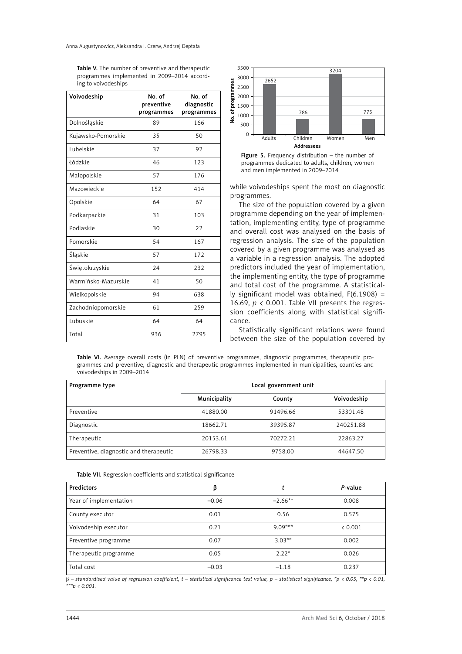Table V. The number of preventive and therapeutic programmes implemented in 2009–2014 according to voivodeships

| Voivodeship         | No. of<br>preventive<br>programmes | No. of<br>diagnostic<br>programmes |
|---------------------|------------------------------------|------------------------------------|
| Dolnośląskie        | 89                                 | 166                                |
| Kujawsko-Pomorskie  | 35                                 | 50                                 |
| Lubelskie           | 37                                 | 92                                 |
| Łódzkie             | 46                                 | 123                                |
| Małopolskie         | 57                                 | 176                                |
| Mazowieckie         | 152                                | 414                                |
| Opolskie            | 64                                 | 67                                 |
| Podkarpackie        | 31                                 | 103                                |
| Podlaskie           | 30                                 | 22                                 |
| Pomorskie           | 54                                 | 167                                |
| Śląskie             | 57                                 | 172                                |
| Świętokrzyskie      | 24                                 | 232                                |
| Warmińsko-Mazurskie | 41                                 | 50                                 |
| Wielkopolskie       | 94                                 | 638                                |
| Zachodniopomorskie  | 61                                 | 259                                |
| Lubuskie            | 64                                 | 64                                 |
| Total               | 936                                | 2795                               |



Figure 5. Frequency distribution - the number of programmes dedicated to adults, children, women and men implemented in 2009–2014

while voivodeships spent the most on diagnostic programmes.

The size of the population covered by a given programme depending on the year of implementation, implementing entity, type of programme and overall cost was analysed on the basis of regression analysis. The size of the population covered by a given programme was analysed as a variable in a regression analysis. The adopted predictors included the year of implementation, the implementing entity, the type of programme and total cost of the programme. A statistically significant model was obtained,  $F(6.1908) =$ 16.69, *p* < 0.001. Table VII presents the regression coefficients along with statistical significance.

Statistically significant relations were found between the size of the population covered by

Table VI. Average overall costs (in PLN) of preventive programmes, diagnostic programmes, therapeutic programmes and preventive, diagnostic and therapeutic programmes implemented in municipalities, counties and voivodeships in 2009–2014

| Programme type                         | Local government unit |          |             |  |  |  |
|----------------------------------------|-----------------------|----------|-------------|--|--|--|
|                                        | Municipality          | County   | Voivodeship |  |  |  |
| Preventive                             | 41880.00              | 91496.66 | 53301.48    |  |  |  |
| Diagnostic                             | 18662.71              | 39395.87 | 240251.88   |  |  |  |
| Therapeutic                            | 20153.61              | 70272.21 | 22863.27    |  |  |  |
| Preventive, diagnostic and therapeutic | 26798.33              | 9758.00  | 44647.50    |  |  |  |

Table VII. Regression coefficients and statistical significance

| <b>Predictors</b>      | β       |           | P-value |
|------------------------|---------|-----------|---------|
| Year of implementation | $-0.06$ | $-2.66**$ | 0.008   |
| County executor        | 0.01    | 0.56      | 0.575   |
| Voivodeship executor   | 0.21    | $9.09***$ | < 0.001 |
| Preventive programme   | 0.07    | $3.03**$  | 0.002   |
| Therapeutic programme  | 0.05    | $2.22*$   | 0.026   |
| Total cost             | $-0.03$ | $-1.18$   | 0.237   |

b *– standardised value of regression coefficient, t – statistical significance test value, p – statistical significance, \*p < 0.05, \*\*p < 0.01, \*\*\*p < 0.001.*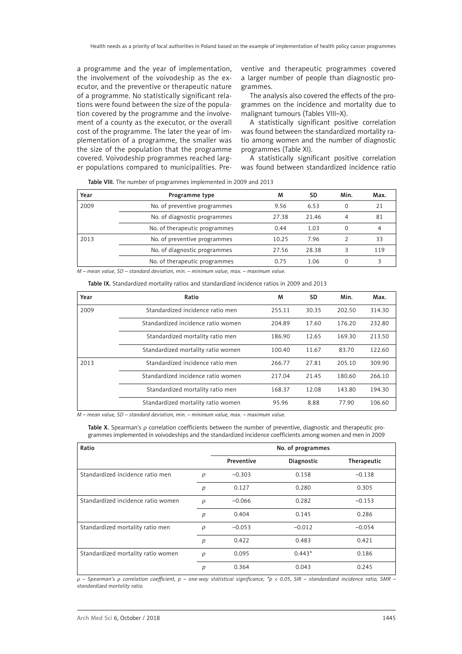a programme and the year of implementation, the involvement of the voivodeship as the executor, and the preventive or therapeutic nature of a programme. No statistically significant relations were found between the size of the population covered by the programme and the involvement of a county as the executor, or the overall cost of the programme. The later the year of implementation of a programme, the smaller was the size of the population that the programme covered. Voivodeship programmes reached larger populations compared to municipalities. Preventive and therapeutic programmes covered a larger number of people than diagnostic programmes.

The analysis also covered the effects of the programmes on the incidence and mortality due to malignant tumours (Tables VIII–X).

A statistically significant positive correlation was found between the standardized mortality ratio among women and the number of diagnostic programmes (Table XI).

A statistically significant positive correlation was found between standardized incidence ratio

Table VIII. The number of programmes implemented in 2009 and 2013

| Year | Programme type                | M     | SD.   | Min. | Max. |
|------|-------------------------------|-------|-------|------|------|
| 2009 | No. of preventive programmes  | 9.56  | 6.53  |      | 21   |
|      | No. of diagnostic programmes  | 27.38 | 21.46 |      | 81   |
|      | No. of therapeutic programmes | 0.44  | 1.03  | 0    | 4    |
| 2013 | No. of preventive programmes  | 10.25 | 7.96  |      | 33   |
|      | No. of diagnostic programmes  | 27.56 | 28.38 |      | 119  |
|      | No. of therapeutic programmes | 0.75  | 1.06  | 0    | ς    |

*M – mean value, SD – standard deviation, min. – minimum value, max. – maximum value.*

Table IX. Standardized mortality ratios and standardized incidence ratios in 2009 and 2013

| Year | Ratio                              | м      | SD    | Min.   | Max.   |
|------|------------------------------------|--------|-------|--------|--------|
| 2009 | Standardized incidence ratio men   | 255.11 | 30.35 | 202.50 | 314.30 |
|      | Standardized incidence ratio women | 204.89 | 17.60 | 176.20 | 232.80 |
|      | Standardized mortality ratio men   | 186.90 | 12.65 | 169.30 | 213.50 |
|      | Standardized mortality ratio women | 100.40 | 11.67 | 83.70  | 122.60 |
| 2013 | Standardized incidence ratio men   | 266.77 | 27.81 | 205.10 | 309.90 |
|      | Standardized incidence ratio women | 217.04 | 21.45 | 180.60 | 266.10 |
|      | Standardized mortality ratio men   | 168.37 | 12.08 | 143.80 | 194.30 |
|      | Standardized mortality ratio women | 95.96  | 8.88  | 77.90  | 106.60 |

*M – mean value, SD – standard deviation, min. – minimum value, max. – maximum value.*

Table X. Spearman's  $\rho$  correlation coefficients between the number of preventive, diagnostic and therapeutic programmes implemented in voivodeships and the standardized incidence coefficients among women and men in 2009

| Ratio                              |                  |            | No. of programmes |             |
|------------------------------------|------------------|------------|-------------------|-------------|
|                                    |                  | Preventive | Diagnostic        | Therapeutic |
| Standardized incidence ratio men   | ρ                | $-0.303$   | 0.158             | $-0.138$    |
|                                    | $\boldsymbol{p}$ | 0.127      | 0.280             | 0.305       |
| Standardized incidence ratio women | $\rho$           | $-0.066$   | 0.282             | $-0.153$    |
|                                    | p                | 0.404      | 0.145             | 0.286       |
| Standardized mortality ratio men   | ρ                | $-0.053$   | $-0.012$          | $-0.054$    |
|                                    | $\boldsymbol{p}$ | 0.422      | 0.483             | 0.421       |
| Standardized mortality ratio women | $\rho$           | 0.095      | $0.443*$          | 0.186       |
|                                    | p                | 0.364      | 0.043             | 0.245       |

r *– Spearman's* r *correlation coefficient, p – one-way statistical significance, \*p < 0.05, SIR – standardized incidence ratio, SMR – standardized mortality ratio.*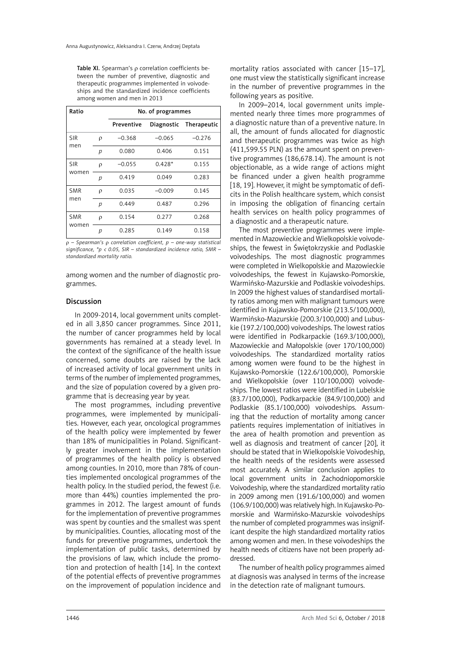Table XI. Spearman's  $\rho$  correlation coefficients between the number of preventive, diagnostic and therapeutic programmes implemented in voivodeships and the standardized incidence coefficients among women and men in 2013

| Ratio      |   |            | No. of programmes |                        |
|------------|---|------------|-------------------|------------------------|
|            |   | Preventive |                   | Diagnostic Therapeutic |
| <b>SIR</b> | ρ | $-0.368$   | $-0.065$          | $-0.276$               |
| men        | р | 0.080      | 0.406             | 0.151                  |
| <b>SIR</b> | ρ | $-0.055$   | $0.428*$          | 0.155                  |
| women      | р | 0.419      | 0.049             | 0.283                  |
| <b>SMR</b> | ρ | 0.035      | $-0.009$          | 0.145                  |
| men        | р | 0.449      | 0.487             | 0.296                  |
| <b>SMR</b> | D | 0.154      | 0.277             | 0.268                  |
| women      | р | 0.285      | 0.149             | 0.158                  |

r *– Spearman's* r *correlation coefficient, p – one-way statistical significance, \*p < 0.05, SIR – standardized incidence ratio, SMR – standardized mortality ratio.*

among women and the number of diagnostic programmes.

#### Discussion

In 2009-2014, local government units completed in all 3,850 cancer programmes. Since 2011, the number of cancer programmes held by local governments has remained at a steady level. In the context of the significance of the health issue concerned, some doubts are raised by the lack of increased activity of local government units in terms of the number of implemented programmes, and the size of population covered by a given programme that is decreasing year by year.

The most programmes, including preventive programmes, were implemented by municipalities. However, each year, oncological programmes of the health policy were implemented by fewer than 18% of municipalities in Poland. Significantly greater involvement in the implementation of programmes of the health policy is observed among counties. In 2010, more than 78% of counties implemented oncological programmes of the health policy. In the studied period, the fewest (i.e. more than 44%) counties implemented the programmes in 2012. The largest amount of funds for the implementation of preventive programmes was spent by counties and the smallest was spent by municipalities. Counties, allocating most of the funds for preventive programmes, undertook the implementation of public tasks, determined by the provisions of law, which include the promotion and protection of health [14]. In the context of the potential effects of preventive programmes on the improvement of population incidence and

mortality ratios associated with cancer [15–17], one must view the statistically significant increase in the number of preventive programmes in the following years as positive.

In 2009–2014, local government units implemented nearly three times more programmes of a diagnostic nature than of a preventive nature. In all, the amount of funds allocated for diagnostic and therapeutic programmes was twice as high (411,599.55 PLN) as the amount spent on preventive programmes (186,678.14). The amount is not objectionable, as a wide range of actions might be financed under a given health programme [18, 19]. However, it might be symptomatic of deficits in the Polish healthcare system, which consist in imposing the obligation of financing certain health services on health policy programmes of a diagnostic and a therapeutic nature.

The most preventive programmes were implemented in Mazowieckie and Wielkopolskie voivodeships, the fewest in Świętokrzyskie and Podlaskie voivodeships. The most diagnostic programmes were completed in Wielkopolskie and Mazowieckie voivodeships, the fewest in Kujawsko-Pomorskie, Warmińsko-Mazurskie and Podlaskie voivodeships. In 2009 the highest values of standardised mortality ratios among men with malignant tumours were identified in Kujawsko-Pomorskie (213.5/100,000), Warmińsko-Mazurskie (200.3/100,000) and Lubuskie (197.2/100,000) voivodeships. The lowest ratios were identified in Podkarpackie (169.3/100,000), Mazowieckie and Małopolskie (over 170/100,000) voivodeships. The standardized mortality ratios among women were found to be the highest in Kujawsko-Pomorskie (122.6/100,000), Pomorskie and Wielkopolskie (over 110/100,000) voivodeships. The lowest ratios were identified in Lubelskie (83.7/100,000), Podkarpackie (84.9/100,000) and Podlaskie (85.1/100,000) voivodeships. Assuming that the reduction of mortality among cancer patients requires implementation of initiatives in the area of health promotion and prevention as well as diagnosis and treatment of cancer [20], it should be stated that in Wielkopolskie Voivodeship, the health needs of the residents were assessed most accurately. A similar conclusion applies to local government units in Zachodniopomorskie Voivodeship, where the standardized mortality ratio in 2009 among men (191.6/100,000) and women (106.9/100,000) was relatively high. In Kujawsko-Pomorskie and Warmińsko-Mazurskie voivodeships the number of completed programmes was insignificant despite the high standardized mortality ratios among women and men. In these voivodeships the health needs of citizens have not been properly addressed.

The number of health policy programmes aimed at diagnosis was analysed in terms of the increase in the detection rate of malignant tumours.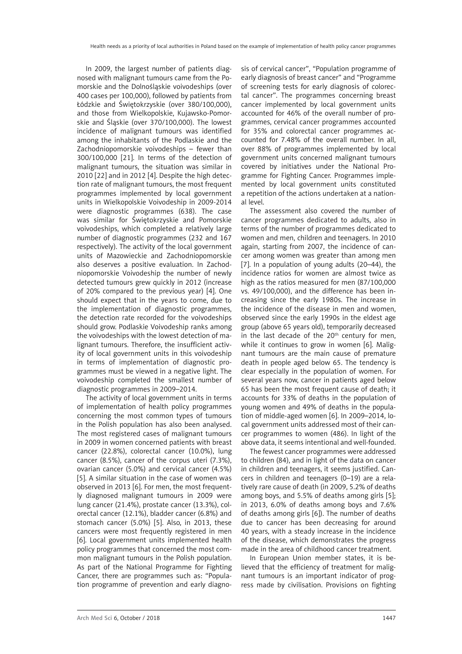In 2009, the largest number of patients diagnosed with malignant tumours came from the Pomorskie and the Dolnośląskie voivodeships (over 400 cases per 100,000), followed by patients from Łódzkie and Świętokrzyskie (over 380/100,000), and those from Wielkopolskie, Kujawsko-Pomorskie and Śląskie (over 370/100,000). The lowest incidence of malignant tumours was identified among the inhabitants of the Podlaskie and the Zachodniopomorskie voivodeships – fewer than 300/100,000 [21]. In terms of the detection of malignant tumours, the situation was similar in 2010 [22] and in 2012 [4]. Despite the high detection rate of malignant tumours, the most frequent programmes implemented by local government units in Wielkopolskie Voivodeship in 2009-2014 were diagnostic programmes (638). The case was similar for Świętokrzyskie and Pomorskie voivodeships, which completed a relatively large number of diagnostic programmes (232 and 167 respectively). The activity of the local government units of Mazowieckie and Zachodniopomorskie also deserves a positive evaluation. In Zachodniopomorskie Voivodeship the number of newly detected tumours grew quickly in 2012 (increase of 20% compared to the previous year) [4]. One should expect that in the years to come, due to the implementation of diagnostic programmes, the detection rate recorded for the voivodeships should grow. Podlaskie Voivodeship ranks among the voivodeships with the lowest detection of malignant tumours. Therefore, the insufficient activity of local government units in this voivodeship in terms of implementation of diagnostic programmes must be viewed in a negative light. The voivodeship completed the smallest number of diagnostic programmes in 2009–2014.

The activity of local government units in terms of implementation of health policy programmes concerning the most common types of tumours in the Polish population has also been analysed. The most registered cases of malignant tumours in 2009 in women concerned patients with breast cancer (22.8%), colorectal cancer (10.0%), lung cancer (8.5%), cancer of the corpus uteri (7.3%), ovarian cancer (5.0%) and cervical cancer (4.5%) [5]. A similar situation in the case of women was observed in 2013 [6]. For men, the most frequently diagnosed malignant tumours in 2009 were lung cancer (21.4%), prostate cancer (13.3%), colorectal cancer (12.1%), bladder cancer (6.8%) and stomach cancer (5.0%) [5]. Also, in 2013, these cancers were most frequently registered in men [6]. Local government units implemented health policy programmes that concerned the most common malignant tumours in the Polish population. As part of the National Programme for Fighting Cancer, there are programmes such as: "Population programme of prevention and early diagnosis of cervical cancer", "Population programme of early diagnosis of breast cancer" and "Programme of screening tests for early diagnosis of colorectal cancer". The programmes concerning breast cancer implemented by local government units accounted for 46% of the overall number of programmes, cervical cancer programmes accounted for 35% and colorectal cancer programmes accounted for 7.48% of the overall number. In all, over 88% of programmes implemented by local government units concerned malignant tumours covered by initiatives under the National Programme for Fighting Cancer. Programmes implemented by local government units constituted a repetition of the actions undertaken at a national level.

The assessment also covered the number of cancer programmes dedicated to adults, also in terms of the number of programmes dedicated to women and men, children and teenagers. In 2010 again, starting from 2007, the incidence of cancer among women was greater than among men [7]. In a population of young adults (20–44), the incidence ratios for women are almost twice as high as the ratios measured for men (87/100,000 vs. 49/100,000), and the difference has been increasing since the early 1980s. The increase in the incidence of the disease in men and women, observed since the early 1990s in the eldest age group (above 65 years old), temporarily decreased in the last decade of the  $20<sup>th</sup>$  century for men, while it continues to grow in women [6]. Malignant tumours are the main cause of premature death in people aged below 65. The tendency is clear especially in the population of women. For several years now, cancer in patients aged below 65 has been the most frequent cause of death; it accounts for 33% of deaths in the population of young women and 49% of deaths in the population of middle-aged women [6]. In 2009–2014, local government units addressed most of their cancer programmes to women (486). In light of the above data, it seems intentional and well-founded.

The fewest cancer programmes were addressed to children (84), and in light of the data on cancer in children and teenagers, it seems justified. Cancers in children and teenagers (0–19) are a relatively rare cause of death (in 2009, 5.2% of deaths among boys, and 5.5% of deaths among girls [5]; in 2013, 6.0% of deaths among boys and 7.6% of deaths among girls [6]). The number of deaths due to cancer has been decreasing for around 40 years, with a steady increase in the incidence of the disease, which demonstrates the progress made in the area of childhood cancer treatment.

In European Union member states, it is believed that the efficiency of treatment for malignant tumours is an important indicator of progress made by civilisation. Provisions on fighting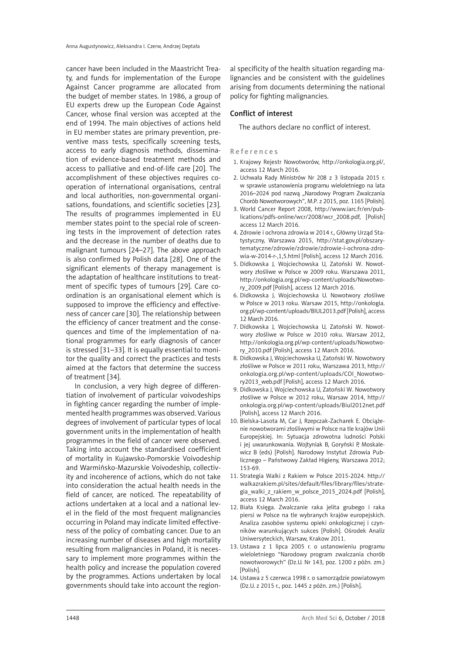cancer have been included in the Maastricht Treaty, and funds for implementation of the Europe Against Cancer programme are allocated from the budget of member states. In 1986, a group of EU experts drew up the European Code Against Cancer, whose final version was accepted at the end of 1994. The main objectives of actions held in EU member states are primary prevention, preventive mass tests, specifically screening tests, access to early diagnosis methods, dissemination of evidence-based treatment methods and access to palliative and end-of-life care [20]. The accomplishment of these objectives requires cooperation of international organisations, central and local authorities, non-governmental organisations, foundations, and scientific societies [23]. The results of programmes implemented in EU member states point to the special role of screening tests in the improvement of detection rates and the decrease in the number of deaths due to malignant tumours [24–27]. The above approach is also confirmed by Polish data [28]. One of the significant elements of therapy management is the adaptation of healthcare institutions to treatment of specific types of tumours [29]. Care coordination is an organisational element which is supposed to improve the efficiency and effectiveness of cancer care [30]. The relationship between the efficiency of cancer treatment and the consequences and time of the implementation of national programmes for early diagnosis of cancer is stressed [31–33]. It is equally essential to monitor the quality and correct the practices and tests aimed at the factors that determine the success of treatment [34].

In conclusion, a very high degree of differentiation of involvement of particular voivodeships in fighting cancer regarding the number of implemented health programmes was observed. Various degrees of involvement of particular types of local government units in the implementation of health programmes in the field of cancer were observed. Taking into account the standardised coefficient of mortality in Kujawsko-Pomorskie Voivodeship and Warmińsko-Mazurskie Voivodeship, collectivity and incoherence of actions, which do not take into consideration the actual health needs in the field of cancer, are noticed. The repeatability of actions undertaken at a local and a national level in the field of the most frequent malignancies occurring in Poland may indicate limited effectiveness of the policy of combating cancer. Due to an increasing number of diseases and high mortality resulting from malignancies in Poland, it is necessary to implement more programmes within the health policy and increase the population covered by the programmes. Actions undertaken by local governments should take into account the region-

al specificity of the health situation regarding malignancies and be consistent with the guidelines arising from documents determining the national policy for fighting malignancies.

# Conflict of interest

The authors declare no conflict of interest.

References

- 1. Krajowy Rejestr Nowotworów, http://onkologia.org.pl/, access 12 March 2016.
- 2. Uchwała Rady Ministrów Nr 208 z 3 listopada 2015 r. w sprawie ustanowienia programu wieloletniego na lata 2016–2024 pod nazwą "Narodowy Program Zwalczania Chorób Nowotworowych", M.P. z 2015, poz. 1165 [Polish].
- 3. World Cancer Report 2008, http://www.iarc.fr/en/publications/pdfs-online/wcr/2008/wcr\_2008.pdf, [Polish] access 12 March 2016.
- 4. Zdrowie i ochrona zdrowia w 2014 r., Główny Urząd Statystyczny, Warszawa 2015, http://stat.gov.pl/obszarytematyczne/zdrowie/zdrowie/zdrowie-i-ochrona-zdrowia-w-2014-r-,1,5.html [Polish], access 12 March 2016.
- 5. Didkowska J, Wojciechowska U, Zatoński W. Nowotwory złośliwe w Polsce w 2009 roku. Warszawa 2011, http://onkologia.org.pl/wp-content/uploads/Nowotwory\_2009.pdf [Polish], access 12 March 2016.
- 6. Didkowska J, Wojciechowska U. Nowotwory złośliwe w Polsce w 2013 roku. Warsaw 2015, http://onkologia. org.pl/wp-content/uploads/BIUL2013.pdf [Polish], access 12 March 2016.
- 7. Didkowska J, Wojciechowska U, Zatoński W. Nowotwory złośliwe w Polsce w 2010 roku. Warsaw 2012, http://onkologia.org.pl/wp-content/uploads/Nowotwory\_2010.pdf [Polish], access 12 March 2016.
- 8. Didkowska J, Wojciechowska U, Zatoński W. Nowotwory złośliwe w Polsce w 2011 roku, Warszawa 2013, http:// onkologia.org.pl/wp-content/uploads/COI\_Nowotwory2013\_web.pdf [Polish], access 12 March 2016.
- 9. Didkowska J, Wojciechowska U, Zatoński W. Nowotwory złośliwe w Polsce w 2012 roku, Warsaw 2014, http:// onkologia.org.pl/wp-content/uploads/Biul2012net.pdf [Polish], access 12 March 2016.
- 10. Bielska-Lasota M, Car J, Rzepczak-Zacharek E. Obciążenie nowotworami złośliwymi w Polsce na tle krajów Unii Europejskiej. In: Sytuacja zdrowotna ludności Polski i jej uwarunkowania. Wojtyniak B, Goryński P, Moskalewicz B (eds) [Polish]. Narodowy Instytut Zdrowia Publicznego – Państwowy Zakład Higieny, Warszawa 2012; 153-69.
- 11. Strategia Walki z Rakiem w Polsce 2015-2024. [http://](http://walkazrakiem.pl/sites/default/files/library/files/strategia_walki_z_rakiem_w_polsce_2015_2024.pdf) [walkazrakiem.pl/sites/default/files/library/files/strate](http://walkazrakiem.pl/sites/default/files/library/files/strategia_walki_z_rakiem_w_polsce_2015_2024.pdf)[gia\\_walki\\_z\\_rakiem\\_w\\_polsce\\_2015\\_2024.pdf](http://walkazrakiem.pl/sites/default/files/library/files/strategia_walki_z_rakiem_w_polsce_2015_2024.pdf) [Polish], access 12 March 2016.
- 12. Biała Księga. Zwalczanie raka jelita grubego i raka piersi w Polsce na tle wybranych krajów europejskich. Analiza zasobów systemu opieki onkologicznej i czynników warunkujących sukces [Polish]. Ośrodek Analiz Uniwersyteckich, Warsaw, Krakow 2011.
- 13. Ustawa z 1 lipca 2005 r. o ustanowieniu programu wieloletniego "Narodowy program zwalczania chorób nowotworowych" (Dz.U. Nr 143, poz. 1200 z późn. zm.) [Polish].
- 14. Ustawa z 5 czerwca 1998 r. o samorządzie powiatowym (Dz.U. z 2015 r., poz. 1445 z późn. zm.) [Polish].